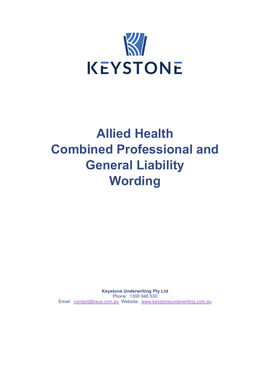

# **Allied Health Combined Professional and General Liability Wording**

**Keystone Underwriting Pty Ltd** Phone: 1300 946 530 Email: [contact@ksua.com.au](mailto:contact@ksua.com.au) Website: [www.keystoneunderwriting.com.au](http://www.keystoneunderwriting.com.au/)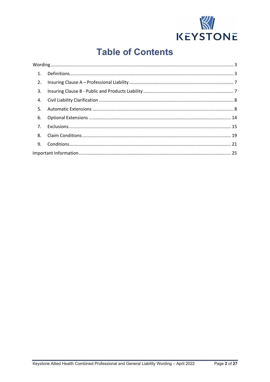

## **Table of Contents**

| 1.             |  |  |
|----------------|--|--|
| 2.             |  |  |
| 3.             |  |  |
| 4.             |  |  |
| 5.             |  |  |
| 6.             |  |  |
| 7 <sub>1</sub> |  |  |
| 8.             |  |  |
| 9.             |  |  |
|                |  |  |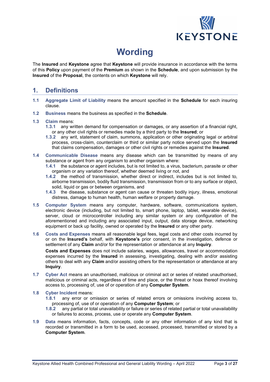

## **Wording**

<span id="page-2-0"></span>The **Insured** and **Keystone** agree that **Keystone** will provide insurance in accordance with the terms of this **Policy** upon payment of the **Premium** as shown in the **Schedule**, and upon submission by the **Insured** of the **Proposal**, the contents on which **Keystone** will rely.

### <span id="page-2-1"></span>**1. Definitions**

- **1.1 Aggregate Limit of Liability** means the amount specified in the **Schedule** for each insuring clause.
- **1.2 Business** means the business as specified in the **Schedule**.

#### **1.3 Claim** means:

- **1.3.1** any written demand for compensation or damages, or any assertion of a financial right, or any other civil rights or remedies made by a third party to the **Insured**; or
- **1.3.2** any writ, statement of claim, summons, application or other originating legal or arbitral process, cross-claim, counterclaim or third or similar party notice served upon the **Insured** that claims compensation, damages or other civil rights or remedies against the **Insured**.
- **1.4 Communicable Disease** means any disease which can be transmitted by means of any substance or agent from any organism to another organism where:
	- **1.4.1** the substance or agent includes, but is not limited to, a virus, bacterium, parasite or other organism or any variation thereof, whether deemed living or not, and
	- **1.4.2** the method of transmission, whether direct or indirect, includes but is not limited to, airborne transmission, bodily fluid transmission, transmission from or to any surface or object, solid, liquid or gas or between organisms, and
	- **1.4.3** the disease, substance or agent can cause or threaten bodily injury, illness, emotional distress, damage to human health, human welfare or property damage.
- **1.5 Computer System** means any computer, hardware, software, communications system, electronic device (including, but not limited to, smart phone, laptop, tablet, wearable device), server, cloud or microcontroller including any similar system or any configuration of the aforementioned and including any associated input, output, data storage device, networking equipment or back up facility, owned or operated by the **Insured** or any other party.
- **1.6 Costs and Expenses** means all reasonable legal fees, legal costs and other costs incurred by or on the **Insured's** behalf, with **Keystone's** prior consent, in the investigation, defence or settlement of any **Claim** and/or for the representation or attendance at any **Inquiry**.

**Costs and Expenses** does not include salaries, wages, allowances, travel or accommodation expenses incurred by the **Insured** in assessing, investigating, dealing with and/or assisting others to deal with any **Claim** and/or assisting others for the representation or attendance at any **Inquiry**.

**1.7 Cyber Act** means an unauthorised, malicious or criminal act or series of related unauthorised, malicious or criminal acts, regardless of time and place, or the threat or hoax thereof involving access to, processing of, use of or operation of any **Computer System**.

#### **1.8 Cyber Incident** means:

- **1.8.1** any error or omission or series of related errors or omissions involving access to, processing of, use of or operation of any **Computer System**; or
- **1.8.2** any partial or total unavailability or failure or series of related partial or total unavailability or failures to access, process, use or operate any **Computer System**.
- **1.9 Data** means information, facts, concepts, code or any other information of any kind that is recorded or transmitted in a form to be used, accessed, processed, transmitted or stored by a **Computer System**.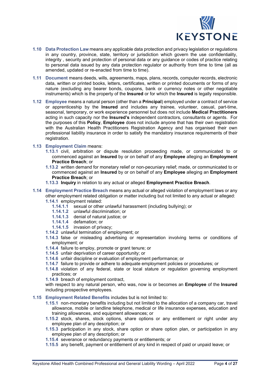

- **1.10 Data Protection Law** means any applicable data protection and privacy legislation or regulations in any country, province, state, territory or jurisdiction which govern the use confidentiality, integrity , security and protection of personal data or any guidance or codes of practice relating to personal data issued by any data protection regulator or authority from time to time (all as amended, updated or re-enacted from time to time).
- **1.11 Document** means deeds, wills, agreements, maps, plans, records, computer records, electronic data, written or printed books, letters, certificates, written or printed documents or forms of any nature (excluding any bearer bonds, coupons, bank or currency notes or other negotiable instruments) which is the property of the **Insured** or for which the **Insured** is legally responsible.
- **1.12 Employee** means a natural person (other than a **Principal**) employed under a contract of service or apprenticeship by the **Insured** and includes any trainee, volunteer, casual, part-time, seasonal, temporary, or work experience personnel but does not include **Medical Practitioners**  acting in such capacity nor the **Insured's** independent contractors, consultants or agents. For the purposes of this **Policy**, **Employee** does not include anyone that has their own registration with the Australian Health Practitioners Registration Agency and has organised their own professional liability insurance in order to satisfy the mandatory insurance requirements of their registration.

#### **1.13 Employment Claim** means:

- **1.13.1** civil, arbitration or dispute resolution proceeding made, or communicated to or commenced against an **Insured** by or on behalf of any **Employee** alleging an **Employment Practice Breach**; or
- **1.13.2** written demand for monetary relief or non-pecuniary relief; made, or communicated to or commenced against an **Insured** by or on behalf of any **Employee** alleging an **Employment Practice Breach**; or
- **1.13.3 Inquiry** in relation to any actual or alleged **Employment Practice Breach**.
- **1.14 Employment Practice Breach** means any actual or alleged violation of employment laws or any other employment related obligation or matter including but not limited to any actual or alleged: **1.14.1** employment related:
	- **1.14.1.1** sexual or other unlawful harassment (including bullying); or
	- **1.14.1.2** unlawful discrimination; or
	- **1.14.1.3** denial of natural justice; or
	- **1.14.1.4** defamation; or
	- **1.14.1.5** invasion of privacy;
	- **1.14.2** unlawful termination of employment; or
	- **1.14.3** false or misleading advertising or representation involving terms or conditions of employment; or
	- **1.14.4** failure to employ, promote or grant tenure; or
	- **1.14.5** unfair deprivation of career opportunity; or
	- **1.14.6** unfair discipline or evaluation of employment performance; or
	- **1.14.7** failure to provide or adhere to adequate employment policies or procedures; or
	- **1.14.8** violation of any federal, state or local stature or regulation governing employment practices; or

**1.14.9** breach of employment contract,

with respect to any natural person, who was, now is or becomes an **Employee** of the **Insured** including prospective employees.

#### **1.15 Employment Related Benefits** includes but is not limited to:

- **1.15.1** non-monetary benefits including but not limited to the allocation of a company car, travel allowance, mobile or landline telephone, medical or life insurance expenses, education and training allowances, and equipment allowances; or
- **1.15.2** stock, shares, stock options, share options or any entitlement or right under any employee plan of any description; or
- **1.15.3** participation in any stock, share option or share option plan, or participation in any employee plan of any description; or
- **1.15.4** severance or redundancy payments or entitlements; or
- **1.15.5** any benefit, payment or entitlement of any kind in respect of paid or unpaid leave; or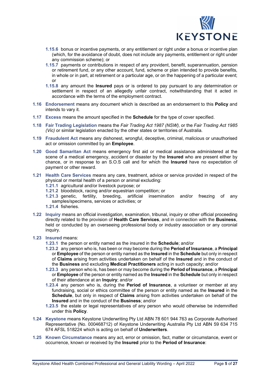

- **1.15.6** bonus or incentive payments, or any entitlement or right under a bonus or incentive plan (which, for the avoidance of doubt, does not include any payments, entitlement or right under any commission scheme); or
- **1.15.7** payments or contributions in respect of any provident, benefit, superannuation, pension or retirement fund, or any other account, fund, scheme or plan intended to provide benefits, in whole or in part, at retirement or a particular age, or on the happening of a particular event; or
- **1.15.8** any amount the **Insured** pays or is ordered to pay pursuant to any determination or settlement in respect of an allegedly unfair contract, notwithstanding that it acted in accordance with the terms of the employment contract.
- **1.16 Endorsement** means any document which is described as an endorsement to this **Policy** and intends to vary it.
- **1.17 Excess** means the amount specified in the **Schedule** for the type of cover specified.
- **1.18 Fair Trading Legislation** means the *Fair Trading Act 1987 (NSW),* or the *Fair Trading Act 1985 (Vic)* or similar legislation enacted by the other states or territories of Australia.
- **1.19 Fraudulent Act** means any dishonest, wrongful, deceptive, criminal, malicious or unauthorised act or omission committed by an **Employee**.
- **1.20 Good Samaritan Act** means emergency first aid or medical assistance administered at the scene of a medical emergency, accident or disaster by the **Insured** who are present either by chance, or in response to an S.O.S call and for which the **Insured** have no expectation of payment or other reward.
- **1.21 Health Care Services** means any care, treatment, advice or service provided in respect of the physical or mental health of a person or animal excluding:
	- **1.21.1** agricultural and/or livestock purpose; or
	- **1.21.2** bloodstock, racing and/or equestrian competition; or
	- **1.21.3** genetic, fertility, breeding, artificial insemination and/or freezing of any samples/specimens, services or activities; or
	- **1.21.4** fisheries.
- **1.22 Inquiry** means an official investigation, examination, tribunal, inquiry or other official proceeding directly related to the provision of **Health Care Services**, and in connection with the **Business**, held or conducted by an overseeing professional body or industry association or any coronial inquiry.
- **1.23 Insured** means:
	- **1.23.1** the person or entity named as the insured in the **Schedule**; and/or
	- **1.23.2** any person who is, has been or may become during the **Period of Insurance**, a **Principal**  or **Employee** of the person or entity named as the **Insured** in the **Schedule** but only in respect of **Claims** arising from activities undertaken on behalf of the **Insured** and in the conduct of the **Business** and excluding **Medical Practitioners** acting in such capacity; and/or
	- **1.23.3** any person who is, has been or may become during the **Period of Insurance**, a **Principal**  or **Employee** of the person or entity named as the **Insured** in the **Schedule** but only in respect of their attendance at an **Inquiry**; and/or
	- **1.23.4** any person who is, during the **Period of Insurance**, a volunteer or member at any fundraising, social or ethics committee of the person or entity named as the **Insured** in the **Schedule**, but only in respect of **Claims** arising from activities undertaken on behalf of the **Insured** and in the conduct of the **Business**; and/or
	- **1.23.5** the estate or legal representatives of any person who would otherwise be indemnified under this **Policy**.
- **1.24 Keystone** means Keystone Underwriting Pty Ltd ABN 78 601 944 763 as Corporate Authorised Representative (No. 000468712) of Keystone Underwriting Australia Pty Ltd ABN 59 634 715 674 AFSL 518224 which is acting on behalf of **Underwriters**.
- **1.25 Known Circumstance** means any act, error or omission, fact, matter or circumstance, event or occurrence, known or received by the **Insured** prior to the **Period of Insurance**: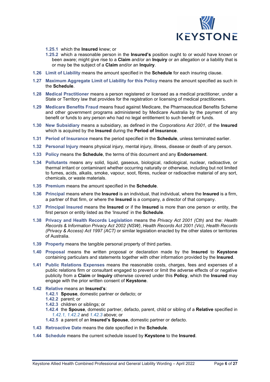

- **1.25.1** which the **Insured** knew; or
- **1.25.2** which a reasonable person in the **Insured's** position ought to or would have known or been aware; might give rise to a **Claim** and/or an **Inquiry** or an allegation or a liability that is or may be the subject of a **Claim** and/or an **Inquiry**.
- **1.26 Limit of Liability** means the amount specified in the **Schedule** for each insuring clause.
- **1.27 Maximum Aggregate Limit of Liability for this Policy** means the amount specified as such in the **Schedule**.
- **1.28 Medical Practitioner** means a person registered or licensed as a medical practitioner, under a State or Territory law that provides for the registration or licensing of medical practitioners.
- **1.29 Medicare Benefits Fraud** means fraud against Medicare, the Pharmaceutical Benefits Scheme and other government programs administered by Medicare Australia by the payment of any benefit or funds to any person who had no legal entitlement to such benefit or funds.
- **1.30 New Subsidiary** means a subsidiary, as defined in the *Corporations Act 2001*, of the **Insured**  which is acquired by the **Insured** during the **Period of Insurance**.
- **1.31 Period of Insurance** means the period specified in the **Schedule**, unless terminated earlier.
- **1.32 Personal Injury** means physical injury, mental injury, illness, disease or death of any person.
- **1.33 Policy** means the **Schedule**, the terms of this document and any **Endorsement**.
- **1.34 Pollutants** means any solid, liquid, gaseous, biological, radiological, nuclear, radioactive, or thermal irritant or contaminant whether occurring naturally or otherwise, including but not limited to fumes, acids, alkalis, smoke, vapour, soot, fibres, nuclear or radioactive material of any sort, chemicals, or waste materials.
- **1.35 Premium** means the amount specified in the **Schedule**.
- **1.36 Principal** means where the **Insured** is an individual, that individual, where the **Insured** is a firm, a partner of that firm, or where the **Insured** is a company, a director of that company.
- **1.37 Principal Insured** means the **Insured** or if the **Insured** is more than one person or entity, the first person or entity listed as the 'Insured' in the **Schedule**.
- **1.38 Privacy and Health Records Legislation** means the *Privacy Act 2001 (Cth)* and the: *Health Records & Information Privacy Act 2002 (NSW)*, *Health Records Act 2001 (Vic), Health Records (Privacy & Access) Act 1997 (ACT)* or similar legislation enacted by the other states or territories of Australia.
- **1.39 Property** means the tangible personal property of third parties.
- **1.40 Proposal** means the written proposal or declaration made by the **Insured** to **Keystone** containing particulars and statements together with other information provided by the **Insured**.
- **1.41 Public Relations Expenses** means the reasonable costs, charges, fees and expenses of a public relations firm or consultant engaged to prevent or limit the adverse effects of or negative publicity from a **Claim** or **Inquiry** otherwise covered under this **Policy**, which the **Insured** may engage with the prior written consent of **Keystone**.
- **1.42 Relative** means an **Insured's**:
	- **1.42.1 Spouse**, domestic partner or defacto; or
	- **1.42.2** parent; or
		- **1.42.3** children or siblings; or
		- **1.42.4** the **Spouse**, domestic partner, defacto, parent, child or sibling of a **Relative** specified in *1.42.1, 1.42.2* and *1.42.3* above; or
		- **1.42.5** a parent of an **Insured's Spouse**, domestic partner or defacto.
- **1.43 Retroactive Date** means the date specified in the **Schedule**.
- **1.44 Schedule** means the current schedule issued by **Keystone** to the **Insured**.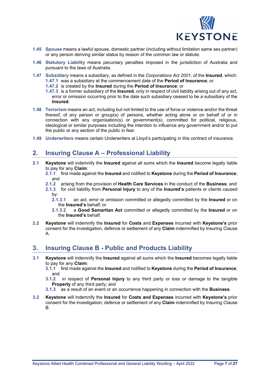

- **1.45 Spouse** means a lawful spouse, domestic partner (including without limitation same sex partner) or any person deriving similar status by reason of the common law or statute.
- **1.46 Statutory Liability** means pecuniary penalties imposed in the jurisdiction of Australia and pursuant to the laws of Australia.
- **1.47 Subsidiary** means a subsidiary, as defined in the *Corporations Act 2001*, of the **Insured**, which: **1.47.1** was a subsidiary at the commencement date of the **Period of Insurance**; or
	- **1.47.2** is created by the **Insured** during the **Period of Insurance**; or
	- **1.47.3** is a former subsidiary of the **Insured**, only in respect of civil liability arising out of any act, error or omission occurring prior to the date such subsidiary ceased to be a subsidiary of the **Insured**.
- **1.48 Terrorism** means an act, including but not limited to the use of force or violence and/or the threat thereof, of any person or group(s) of persons, whether acting alone or on behalf of or in connection with any organisation(s) or government(s), committed for political, religious, ideological or similar purposes including the intention to influence any government and/or to put the public or any section of the public in fear.
- <span id="page-6-0"></span>**1.49 Underwriters** means certain Underwriters at Lloyd's participating in this contract of insurance.

### **2. Insuring Clause A – Professional Liability**

- **2.1 Keystone** will indemnify the **Insured** against all sums which the **Insured** become legally liable to pay for any **Claim**:
	- **2.1.1** first made against the **Insured** and notified to **Keystone** during the **Period of Insurance**; and
	- **2.1.2** arising from the provision of **Health Care Services** in the conduct of the **Business**; and
	- **2.1.3** for civil liability from **Personal Injury** to any of the **Insured's** patients or clients caused by:
		- **2.1.3.1** an act, error or omission committed or allegedly committed by the **Insured** or on the **Insured's** behalf; or
		- **2.1.3.2** a **Good Samaritan Act** committed or allegedly committed by the **Insured** or on the **Insured's** behalf.
- **2.2 Keystone** will indemnify the **Insured** for **Costs** and **Expenses** incurred with **Keystone's** prior consent for the investigation, defence or settlement of any **Claim** indemnified by Insuring Clause A.

### <span id="page-6-1"></span>**3. Insuring Clause B - Public and Products Liability**

- **3.1 Keystone** will indemnify the **Insured** against all sums which the **Insured** becomes legally liable to pay for any **Claim**:
	- **3.1.1** first made against the **Insured** and notified to **Keystone** during the **Period of Insurance**; and
	- **3.1.2** in respect of **Personal Injury** to any third party or loss or damage to the tangible **Property** of any third party; and
	- **3.1.3** as a result of an event or an occurrence happening in connection with the **Business**.
- **3.2 Keystone** will indemnify the **Insured** for **Costs and Expenses** incurred with **Keystone's** prior consent for the investigation, defence or settlement of any **Claim** indemnified by Insuring Clause B.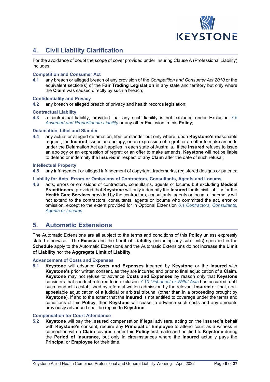

### <span id="page-7-0"></span>**4. Civil Liability Clarification**

For the avoidance of doubt the scope of cover provided under Insuring Clause A (Professional Liability) includes:

#### **Competition and Consumer Act**

**4.1** any breach or alleged breach of any provision of the *Competition and Consumer Act 2010* or the equivalent section(s) of the **Fair Trading Legislation** in any state and territory but only where the **Claim** was caused directly by such a breach;

#### **Confidentiality and Privacy**

**4.2** any breach or alleged breach of privacy and health records legislation;

#### **Contractual Liability**

**4.3** a contractual liability, provided that any such liability is not excluded under Exclusion *7.5 Assumed and Proportionate Liability* or any other Exclusion in this **Policy**;

#### **Defamation, Libel and Slander**

**4.4** any actual or alleged defamation, libel or slander but only where, upon **Keystone's** reasonable request, the **Insured** issues an apology; or an expression of regret; or an offer to make amends under the Defamation Act as it applies in each state of Australia. If the **Insured** refuses to issue an apology or an expression of regret; or an offer to make amends, **Keystone** will not be liable to defend or indemnify the **Insured** in respect of any **Claim** after the date of such refusal;

#### **Intellectual Property**

**4.5** any infringement or alleged infringement of copyright, trademarks, registered designs or patents;

#### **Liability for Acts, Errors or Omissions of Contractors, Consultants, Agents and Locums**

**4.6** acts, errors or omissions of contractors, consultants, agents or locums but excluding **Medical Practitioners**, provided that **Keystone** will only indemnify the **Insured** for its civil liability for the **Health Care Services** provided by the contractors, consultants, agents or locums. Indemnity will not extend to the contractors, consultants, agents or locums who committed the act, error or omission, except to the extent provided for in Optional Extension *6.1 Contractors, Consultants, Agents or Locums*.

### <span id="page-7-1"></span>**5. Automatic Extensions**

The Automatic Extensions are all subject to the terms and conditions of this **Policy** unless expressly stated otherwise. The **Excess** and the **Limit of Liability** (including any sub-limits) specified in the **Schedule** apply to the Automatic Extensions and the Automatic Extensions do not increase the **Limit of Liability** nor the **Aggregate Limit of Liability**.

#### **Advancement of Costs and Expenses**

**5.1 Keystone** will advance **Costs and Expenses** incurred by **Keystone** or the **Insured** with **Keystone's** prior written consent, as they are incurred and prior to final adjudication of a **Claim**. **Keystone** may not refuse to advance **Costs and Expenses** by reason only that **Keystone** considers that conduct referred to in exclusion *7.10 Dishonest or Wilful Acts* has occurred, until such conduct is established by a formal written admission by the relevant **Insured** or final, nonappealable adjudication of a judicial or arbitral tribunal (other than in a proceeding brought by **Keystone**). If and to the extent that the **Insured** is not entitled to coverage under the terms and conditions of this **Policy**, then **Keystone** will cease to advance such costs and any amounts previously advanced shall be repaid to **Keystone**.

#### **Compensation for Court Attendance**

**5.2 Keystone** will pay the **Insured** compensation if legal advisers, acting on the **Insured's** behalf with **Keystone's** consent, require any **Principal** or **Employee** to attend court as a witness in connection with a **Claim** covered under this **Policy** first made and notified to **Keystone** during the **Period of Insurance**, but only in circumstances where the **Insured** actually pays the **Principal** or **Employee** for their time.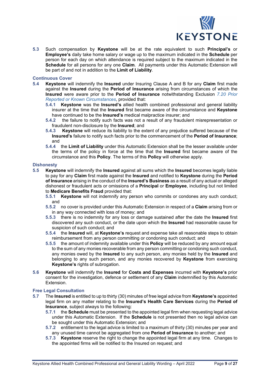

**5.3** Such compensation by **Keystone** will be at the rate equivalent to such **Principal's** or **Employee's** daily take home salary or wage up to the maximum indicated in the **Schedule** per person for each day on which attendance is required subject to the maximum indicated in the **Schedule** for all persons for any one **Claim**. All payments under this Automatic Extension will be part of and not in addition to the **Limit of Liability**.

**Continuous Cover**

- **5.4 Keystone** will indemnify the **Insured** under Insuring Clause A and B for any **Claim** first made against the **Insured** during the **Period of Insurance** arising from circumstances of which the **Insured** were aware prior to the **Period of Insurance** notwithstanding Exclusion *7.20 Prior Reported or Known Circumstances*, provided that:
	- **5.4.1 Keystone** was the **Insured's** allied health combined professional and general liability insurer at the time that the **Insured** first became aware of the circumstance and **Keystone** have continued to be the **Insured's** medical malpractice insurer; and
	- **5.4.2** the failure to notify such facts was not a result of any fraudulent misrepresentation or fraudulent non-disclosure by the **Insured**; and
	- **5.4.3 Keystone** will reduce its liability to the extent of any prejudice suffered because of the **Insured's** failure to notify such facts prior to the commencement of the **Period of Insurance**; and
	- **5.4.4** the **Limit of Liability** under this Automatic Extension shall be the lesser available under the terms of the policy in force at the time that the **Insured** first became aware of the circumstance and this **Policy**. The terms of this **Policy** will otherwise apply.

#### **Dishonesty**

- **5.5 Keystone** will indemnify the **Insured** against all sums which the **Insured** becomes legally liable to pay for any **Claim** first made against the **Insured** and notified to **Keystone** during the **Period of Insurance** arising in the conduct of the **Insured's Business** as a result of any actual or alleged dishonest or fraudulent acts or omissions of a **Principal** or **Employee**, including but not limited to **Medicare Benefits Fraud** provided that:
	- **5.5.1 Keystone** will not indemnify any person who commits or condones any such conduct; and
	- **5.5.2** no cover is provided under this Automatic Extension in respect of a **Claim** arising from or in any way connected with loss of money; and
	- **5.5.3** there is no indemnity for any loss or damage sustained after the date the **Insured** first discovered any such conduct, or the date upon which the **Insured** had reasonable cause for suspicion of such conduct; and
	- **5.5.4** the **Insured** will, at **Keystone's** request and expense take all reasonable steps to obtain reimbursement from any person committing or condoning such conduct; and
	- **5.5.5** the amount of indemnity available under this **Policy** will be reduced by any amount equal to the sum of any monies recoverable from any person committing or condoning such conduct, any monies owed by the **Insured** to any such person, any monies held by the **Insured** and belonging to any such person, and any monies recovered by **Keystone** from exercising **Keystone's** rights of subrogation.
- **5.6 Keystone** will indemnify the **Insured** for **Costs and Expenses** incurred with **Keystone's** prior consent for the investigation, defence or settlement of any **Claim** indemnified by this Automatic Extension.

#### **Free Legal Consultation**

- **5.7** The **Insured** is entitled to up to thirty (30) minutes of free legal advice from **Keystone's** appointed legal firm on any matter relating to the **Insured's Health Care Services** during the **Period of Insurance**, subject always to the following:
	- **5.7.1** the **Schedule** must be presented to the appointed legal firm when requesting legal advice under this Automatic Extension. If the **Schedule** is not presented then no legal advice can be sought under this Automatic Extension; and
	- **5.7.2** entitlement to the legal advice is limited to a maximum of thirty (30) minutes per year and any unused time cannot be aggregated from one **Period of Insurance** to another; and
	- **5.7.3 Keystone** reserve the right to change the appointed legal firm at any time. Changes to the appointed firms will be notified to the Insured on request; and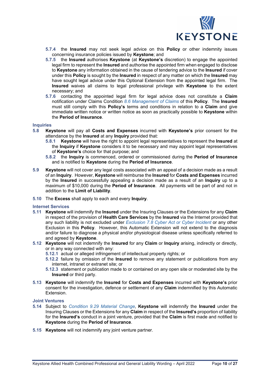

- **5.7.4** the **Insured** may not seek legal advice on this **Policy** or other indemnity issues concerning insurance policies issued by **Keystone**; and
- **5.7.5** the **Insured** authorises **Keystone** (at **Keystone's** discretion) to engage the appointed legal firm to represent the **Insured** and authorise the appointed firm when engaged to disclose to **Keystone** any information obtained in the cause of tendering advice to the **Insured** if cover under this **Policy** is sought by the **Insured** in respect of any matter on which the **Insured** may have sought legal advice under this Optional Extension from the appointed legal firm. The **Insured** waives all claims to legal professional privilege with **Keystone** to the extent necessary; and
- **5.7.6** contacting the appointed legal firm for legal advice does not constitute a **Claim** notification under Claims Condition *8.6 Management of Claims* of this **Policy**. The **Insured** must still comply with this **Policy's** terms and conditions in relation to a **Claim** and give immediate written notice or written notice as soon as practically possible to **Keystone** within the **Period of Insurance**.

#### **Inquiries**

- **5.8 Keystone** will pay all **Costs and Expenses** incurred with **Keystone's** prior consent for the attendance by the **Insured** at any **Inquiry** provided that:
	- **5.8.1 Keystone** will have the right to appoint legal representatives to represent the **Insured** at the **Inquiry** if **Keystone** considers it to be necessary and may appoint legal representatives of **Keystone's** choice for that purpose; and
	- **5.8.2** the **Inquiry** is commenced, ordered or commissioned during the **Period of Insurance** and is notified to **Keystone** during the **Period of Insurance**.
- **5.9 Keystone** will not cover any legal costs associated with an appeal of a decision made as a result of an **Inquiry**. However, **Keystone** will reimburse the **Insured** for **Costs and Expenses** incurred by the **Insured** in successfully appealing a decision made as a result of an **Inquiry** up to a maximum of \$10,000 during the **Period of Insurance**. All payments will be part of and not in addition to the **Limit of Liability**.
- **5.10** The **Excess** shall apply to each and every **Inquiry**.

#### **Internet Services**

- **5.11 Keystone** will indemnify the **Insured** under the Insuring Clauses or the Extensions for any **Claim** in respect of the provision of **Health Care Services** by the **Insured** via the Internet provided that any such liability is not excluded under *Exclusion 7.8 Cyber Act or Cyber Incident* or any other Exclusion in this **Policy**. However, this Automatic Extension will not extend to the diagnosis and/or failure to diagnose a physical and/or physiological disease unless specifically referred to and agreed by **Keystone**.
- **5.12 Keystone** will not indemnify the **Insured** for any **Claim** or **Inquiry** arising, indirectly or directly, or in any way connected with any:
	- **5.12.1** actual or alleged infringement of intellectual property rights; or
	- **5.12.2** failure by omission of the **Insured** to remove any statement or publications from any internet, intranet or extranet site; or
	- **5.12.3** statement or publication made to or contained on any open site or moderated site by the **Insured** or third party.
- **5.13 Keystone** will indemnify the **Insured** for **Costs and Expenses** incurred with **Keystone's** prior consent for the investigation, defence or settlement of any **Claim** indemnified by this Automatic Extension.

#### **Joint Ventures**

- **5.14** Subject to *Condition 9.29 Material Change*, **Keystone** will indemnify the **Insured** under the Insuring Clauses or the Extensions for any **Claim** in respect of the **Insured's** proportion of liability for the **Insured's** conduct in a joint venture, provided that the **Claim** is first made and notified to **Keystone** during the **Period of Insurance**.
- **5.15 Keystone** will not indemnify any joint venture partner.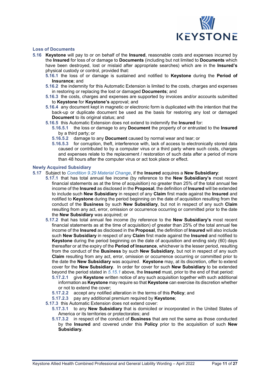

#### **Loss of Documents**

- **5.16 Keystone** will pay to or on behalf of the **Insured**, reasonable costs and expenses incurred by the **Insured** for loss of or damage to **Documents** (including but not limited to **Documents** which have been destroyed, lost or mislaid after appropriate searches) which are in the **Insured's** physical custody or control, provided that:
	- **5.16.1** the loss of or damage is sustained and notified to **Keystone** during the **Period of Insurance**; and
	- **5.16.2** the indemnity for this Automatic Extension is limited to the costs, charges and expenses in restoring or replacing the lost or damaged **Documents**; and
	- **5.16.3** the costs, charges and expenses are supported by invoices and/or accounts submitted to **Keystone** for **Keystone's** approval; and
	- **5.16.4** any document kept in magnetic or electronic form is duplicated with the intention that the back-up or duplicate document be used as the basis for restoring any lost or damaged **Document** to its original status; and
	- **5.16.5** this Automatic Extension does not extend to indemnify the **Insured** for:
		- **5.16.5.1** the loss or damage to any **Document** the property of or entrusted to the **Insured** by a third party; or
		- **5.16.5.2** damage to any **Document** caused by normal wear and tear; or
		- **5.16.5.3** for corruption, theft, interference with, lack of access to electronically stored data caused or contributed to by a computer virus or a third party where such costs, charges and expenses relate to the replacement / restoration of such data after a period of more than 48 hours after the computer virus or act took place or effect.

#### **Newly Acquired Subsidiary**

- **5.17** Subject to *Condition 9.29 Material Change*, if the **Insured** acquires a **New Subsidiary**:
	- **5.17.1** that has total annual fee income (by reference to the **New Subsidiary's** most recent financial statements as at the time of acquisition) no greater than 25% of the total annual fee income of the **Insured** as disclosed in the **Proposal**, the definition of **Insured** will be extended to include such **New Subsidiary** in respect of any **Claim** first made against the **Insured** and notified to **Keystone** during the period beginning on the date of acquisition resulting from the conduct of the **Business** by such **New Subsidiary**, but not in respect of any such **Claim** resulting from any act, error, omission or occurrence occurring or committed prior to the date the **New Subsidiary** was acquired; or
		- **5.17.2** that has total annual fee income (by reference to the **New Subsidiary's** most recent financial statements as at the time of acquisition) of greater than 25% of the total annual fee income of the **Insured** as disclosed in the **Proposal**, the definition of **Insured** will also include such **New Subsidiary** in respect of any **Claim** first made against the **Insured** and notified to **Keystone** during the period beginning on the date of acquisition and ending sixty (60) days thereafter or at the expiry of the **Period of Insurance**, whichever is the lesser period, resulting from the conduct of the **Business** by such **New Subsidiary**, but not in respect of any such **Claim** resulting from any act, error, omission or occurrence occurring or committed prior to the date the **New Subsidiary** was acquired. **Keystone** may, at its discretion, offer to extend cover for the **New Subsidiary**. In order for cover for such **New Subsidiary** to be extended beyond the period stated in *5.15.1* above, the **Insured** must, prior to the end of that period:
			- **5.17.2.1** give **Keystone** written notice of any such acquisition together with such additional information as **Keystone** may require so that **Keystone** can exercise its discretion whether or not to extend the cover;
			- **5.17.2.2** accept any notified alteration in the terms of this **Policy**; and
			- **5.17.2.3** pay any additional premium required by **Keystone**;
		- **5.17.3** this Automatic Extension does not extend cover:
			- **5.17.3.1** to any **New Subsidiary** that is domiciled or incorporated in the United States of America or its territories or protectorates; and
			- **5.17.3.2** in respect of the conduct of **Business** that are not the same as those conducted by the **Insured** and covered under this **Policy** prior to the acquisition of such **New Subsidiary**.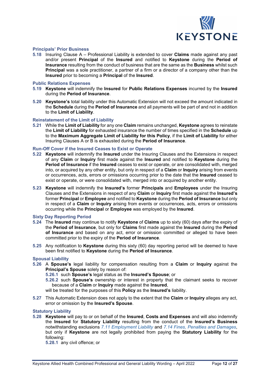

#### **Principals' Prior Business**

**5.18** Insuring Clause A – Professional Liability is extended to cover **Claims** made against any past and/or present **Principal** of the **Insured** and notified to **Keystone** during the **Period of Insurance** resulting from the conduct of business that are the same as the **Business** whilst such **Principal** was a sole practitioner, a partner of a firm or a director of a company other than the **Insured** prior to becoming a **Principal** of the **Insured**.

#### **Public Relations Expenses**

- **5.19 Keystone** will indemnify the **Insured** for **Public Relations Expenses** incurred by the **Insured** during the **Period of Insurance**.
- **5.20 Keystone's** total liability under this Automatic Extension will not exceed the amount indicated in the **Schedule** during the **Period of Insurance** and all payments will be part of and not in addition to the **Limit of Liability**.

#### **Reinstatement of the Limit of Liability**

**5.21** While the **Limit of Liability** for any one **Claim** remains unchanged, **Keystone** agrees to reinstate the **Limit of Liability** for exhausted insurance the number of times specified in the **Schedule** up to the **Maximum Aggregate Limit of Liability for this Policy**, if the **Limit of Liability** for either Insuring Clauses A or B is exhausted during the **Period of Insurance**.

#### **Run-Off Cover if the Insured Ceases to Exist or Operate**

- **5.22 Keystone** will indemnify the **Insured** under the Insuring Clauses and the Extensions in respect of any **Claim** or **Inquiry** first made against the **Insured** and notified to **Keystone** during the **Period of Insurance** if the **Insured** ceases to exist or operate, or are consolidated with, merged into, or acquired by any other entity, but only in respect of a **Claim** or **Inquiry** arising from events or occurrences, acts, errors or omissions occurring prior to the date that the **Insured** ceased to exist or operate, or were consolidated with, merged into or acquired by another entity.
- **5.23 Keystone** will indemnify the **Insured's** former **Principals** and **Employees** under the Insuring Clauses and the Extensions in respect of any **Claim** or **Inquiry** first made against the **Insured's** former **Principal** or **Employee** and notified to **Keystone** during the **Period of Insurance** but only in respect of a **Claim** or **Inquiry** arising from events or occurrences, acts, errors or omissions occurring while the **Principal** or **Employee** was employed by the **Insured**.

#### **Sixty Day Reporting Period**

- **5.24** The **Insured** may continue to notify **Keystone** of **Claims** up to sixty (60) days after the expiry of the **Period of Insurance**, but only for **Claims** first made against the **Insured** during the **Period of Insurance** and based on any act, error or omission committed or alleged to have been committed prior to the expiry of the **Period of Insurance**.
- **5.25** Any notification to **Keystone** during this sixty (60) day reporting period will be deemed to have been first notified to **Keystone** during the **Period of Insurance**.

#### **Spousal Liability**

- **5.26** A **Spouse's** legal liability for compensation resulting from a **Claim** or **Inquiry** against the **Principal's Spouse** solely by reason of:
	- **5.26.1** such **Spouse's** legal status as the **Insured's Spouse**; or
	- **5.26.2** such **Spouse's** ownership or interest in property that the claimant seeks to recover because of a **Claim** or **Inquiry** made against the **Insured**,
	- will be treated for the purposes of this **Policy** as the **Insured's** liability.
- **5.27** This Automatic Extension does not apply to the extent that the **Claim** or **Inquiry** alleges any act, error or omission by the **Insured's Spouse**.

#### **Statutory Liability**

**5.28 Keystone** will pay to or on behalf of the **Insured**, **Costs and Expenses** and will also indemnify the **Insured** for **Statutory Liability** resulting from the conduct of the **Insured's Business** notwithstanding exclusions *7.11 Employment Liability* and *7.14 Fines, Penalties and Damages*, but only if **Keystone** are not legally prohibited from paying the **Statutory Liability** for the following:

**5.28.1** any civil offence; or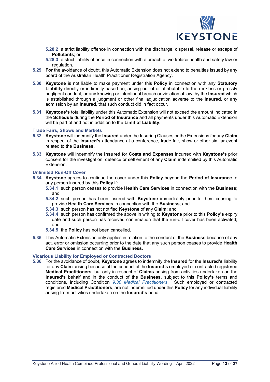

**5.28.2** a strict liability offence in connection with the discharge, dispersal, release or escape of **Pollutants**; or

**5.28.3** a strict liability offence in connection with a breach of workplace health and safety law or regulation.

- **5.29 For** the avoidance of doubt, this Automatic Extension does not extend to penalties issued by any board of the Australian Health Practitioner Registration Agency.
- **5.30 Keystone** is not liable to make payment under this **Policy** in connection with any **Statutory Liability** directly or indirectly based on, arising out of or attributable to the reckless or grossly negligent conduct, or any knowing or intentional breach or violation of law, by the **Insured** which is established through a judgment or other final adjudication adverse to the **Insured**, or any admission by an **Insured**, that such conduct did in fact occur.
- **5.31 Keystone's** total liability under this Automatic Extension will not exceed the amount indicated in the **Schedule** during the **Period of Insurance** and all payments under this Automatic Extension will be part of and not in addition to the **Limit of Liability**.

#### **Trade Fairs, Shows and Markets**

- **5.32 Keystone** will indemnify the **Insured** under the Insuring Clauses or the Extensions for any **Claim** in respect of the **Insured's** attendance at a conference, trade fair, show or other similar event related to the **Business**.
- **5.33 Keystone** will indemnify the **Insured** for **Costs and Expenses** incurred with **Keystone's** prior consent for the investigation, defence or settlement of any **Claim** indemnified by this Automatic Extension.

#### **Unlimited Run-Off Cover**

- **5.34 Keystone** agrees to continue the cover under this **Policy** beyond the **Period of Insurance** to any person insured by this **Policy** if:
	- **5.34.1** such person ceases to provide **Health Care Services** in connection with the **Business**; and
	- **5.34.2** such person has been insured with **Keystone** immediately prior to them ceasing to provide **Health Care Services** in connection with the **Business**; and
	- **5.34.3** such person has not notified **Keystone** of any **Claim**; and
	- **5.34.4** such person has confirmed the above in writing to **Keystone** prior to this **Policy's** expiry date and such person has received confirmation that the run-off cover has been activated; and
	- **5.34.5** the **Policy** has not been cancelled.
- **5.35** This Automatic Extension only applies in relation to the conduct of the **Business** because of any act, error or omission occurring prior to the date that any such person ceases to provide **Health Care Services** in connection with the **Business**.

#### **Vicarious Liability for Employed or Contracted Doctors**

**5.36** For the avoidance of doubt, **Keystone** agrees to indemnify the **Insured** for the **Insured's** liability for any **Claim** arising because of the conduct of the **Insured's** employed or contracted registered **Medical Practitioners**, but only in respect of **Claims** arising from activities undertaken on the **Insured's** behalf and in the conduct of the **Business,** subject to this **Policy's** terms and conditions, including Condition *9.30 Medical Practitioners*. Such employed or contracted registered **Medical Practitioners**, are not indemnified under this **Policy** for any individual liability arising from activities undertaken on the **Insured's** behalf.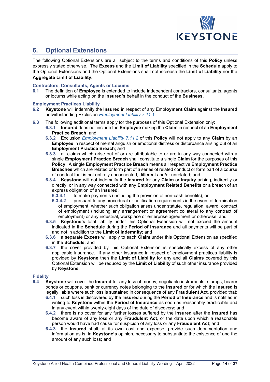

### <span id="page-13-0"></span>**6. Optional Extensions**

The following Optional Extensions are all subject to the terms and conditions of this **Policy** unless expressly stated otherwise. The **Excess** and the **Limit of Liability** specified in the **Schedule** apply to the Optional Extensions and the Optional Extensions shall not increase the **Limit of Liability** nor the **Aggregate Limit of Liability**.

#### **Contractors, Consultants, Agents or Locums**

**6.1** The definition of **Employee** is extended to include independent contractors, consultants, agents or locums while acting on the **Insured's** behalf in the conduct of the **Business**.

#### **Employment Practices Liability**

- **6.2 Keystone** will indemnify the **Insured** in respect of any Emp**loyment Claim** against the **Insured** notwithstanding Exclusion *Employment Liability 7.11.1*.
- **6.3** The following additional terms apply for the purposes of this Optional Extension only:
	- **6.3.1 Insured** does not include the **Employee** making the **Claim** in respect of an **Employment Practice Breach**; and
	- **6.3.2** Exclusion *Employment Liability 7.11.2* of this **Policy** will not apply to any **Claim** by an **Employee** in respect of mental anguish or emotional distress or disturbance arising out of an **Employment Practice Breach**; and
	- **6.3.3** all claims which arise out of or are attributable to or are in any way connected with a single **Employment Practice Breach** shall constitute a single **Claim** for the purposes of this **Policy**. A single **Employment Practice Breach** means all respective **Employment Practice Breaches** which are related or form part of a series of related conduct or form part of a course of conduct that is not entirely unconnected, different and/or unrelated; and
	- **6.3.4 Keystone** will not indemnify the **Insured** for any **Claim** or **Inquiry** arising, indirectly or directly, or in any way connected with any **Employment Related Benefits** or a breach of an express obligation of an **Insured**:<br>**6.3.4.1** to make payments (inc
		- **6.3.4.1** to make payments (including the provision of non-cash benefits); or **6.3.4.2** pursuant to any procedural or notification requirements in the event
		- **6.3.4.2** pursuant to any procedural or notification requirements in the event of termination of employment, whether such obligation arises under statute, regulation, award, contract of employment (including any arrangement or agreement collateral to any contract of employment) or any industrial, workplace or enterprise agreement or otherwise; and
	- **6.3.5 Keystone's** total liability under this Optional Extension will not exceed the amount indicated in the **Schedule** during the **Period of Insurance** and all payments will be part of and not in addition to the **Limit of Indemnity**; and
	- **6.3.6** a separate **Excess** will apply to each **Claim** under this Optional Extension as specified in the **Schedule**; and
	- **6.3.7** the cover provided by this Optional Extension is specifically excess of any other applicable insurance. If any other insurance in respect of employment practices liability is provided by **Keystone** then the **Limit of Liability** for any and all **Claims** covered by this Optional Extension will be reduced by the **Limit of Liability** of such other insurance provided by **Keystone**.

### **Fidelity**

- **6.4 Keystone** will cover the **Insured** for any loss of money, negotiable instruments, stamps, bearer bonds or coupons, bank or currency notes belonging to the **Insured** or for which the **Insured** is legally liable where such loss is sustained in consequence of any **Fraudulent Act**, provided that:
	- **6.4.1** such loss is discovered by the **Insured** during the **Period of Insurance** and is notified in writing to **Keystone** within the **Period of Insurance** as soon as reasonably practicable and in any event within twenty-eight days of the date of discovery; and
	- **6.4.2** there is no cover for any further losses suffered by the **Insured** after the **Insured** has become aware of any loss or any **Fraudulent Act**, or the date upon which a reasonable person would have had cause for suspicion of any loss or any **Fraudulent Act**; and
	- **6.4.3** the **Insured** shall, at its own cost and expense, provide such documentation and information as is, in **Keystone's** opinion, necessary to substantiate the existence of and the amount of any such loss; and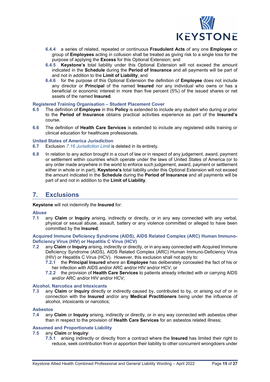

- **6.4.4** a series of related, repeated or continuous **Fraudulent Acts** of any one **Employee** or group of **Employees** acting in collusion shall be treated as giving risk to a single loss for the purpose of applying the **Excess** for this Optional Extension; and
- **6.4.5 Keystone's** total liability under this Optional Extension will not exceed the amount indicated in the **Schedule** during the **Period of Insurance** and all payments will be part of and not in addition to the **Limit of Liability**; and
- **6.4.6** for the purpose of this Optional Extension the definition of **Employee** does not include any director or **Principal** of the named **Insured** nor any individual who owns or has a beneficial or economic interest in more than five percent (5%) of the issued shares or net assets of the named **Insured**.

#### **Registered Training Organisation – Student Placement Cover**

- **6.5** The definition of **Employee** in this **Policy** is extended to include any student who during or prior to the **Period of Insurance** obtains practical activities experience as part of the **Insured's** course.
- **6.6** The definition of **Health Care Services** is extended to include any registered skills training or clinical education for healthcare professionals.

#### **United States of America Jurisdiction**

- **6.7** Exclusion *7.16 Jurisdiction Limit* is deleted in its entirety.
- **6.8** In relation to any action brought in a court of law or in respect of any judgement, award, payment or settlement within countries which operate under the laws of United States of America (or to any order made anywhere in the world to enforce such judgement, award, payment or settlement either in whole or in part), **Keystone's** total liability under this Optional Extension will not exceed the amount indicated in the **Schedule** during the **Period of Insurance** and all payments will be part of and not in addition to the **Limit of Liability**.

### <span id="page-14-0"></span>**7. Exclusions**

#### **Keystone** will not indemnify the **Insured** for:

## **Abuse**

**7.1** any **Claim** or **Inquiry** arising, indirectly or directly, or in any way connected with any verbal, physical or sexual abuse, assault, battery or any violence committed or alleged to have been committed by the **Insured**;

**Acquired Immune Deficiency Syndrome (AIDS), AIDS Related Complex (ARC) Human Immuno-Deficiency Virus (HIV) or Hepatitis C Virus (HCV)**

- **7.2** any **Claim** or **Inquiry** arising, indirectly or directly, or in any way connected with Acquired Immune Deficiency Syndrome (AIDS), AIDS Related Complex (ARC) Human Immuno-Deficiency Virus (HIV) or Hepatitis C Virus (HCV). However, this exclusion shall not apply to:
	- **7.2.1** the **Principal Insured** where an **Employee** has deliberately concealed the fact of his or her infection with AIDS and/or ARC and/or HIV and/or HCV; or
	- **7.2.2** the provision of **Health Care Services** to patients already infected with or carrying AIDS and/or ARC and/or HIV and/or HCV;

#### **Alcohol, Narcotics and Intoxicants**

**7.3** any **Claim** or **Inquiry** directly or indirectly caused by, contributed to by, or arising out of or in connection with the **Insured** and/or any **Medical Practitioners** being under the influence of alcohol, intoxicants or narcotics;

## **Asbestos**

**7.4** any **Claim** or **Inquiry** arising, indirectly or directly, or in any way connected with asbestos other than in respect to the provision of **Health Care Services** for an asbestos related illness;

#### **Assumed and Proportionate Liability**

#### **7.5** any **Claim** or **Inquiry**:

**7.5.1** arising indirectly or directly from a contract where the **Insured** has limited their right to reduce, seek contribution from or apportion their liability to other concurrent wrongdoers under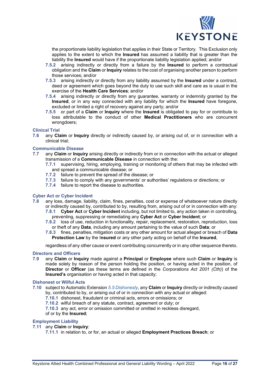

the proportionate liability legislation that applies in their State or Territory. This Exclusion only applies to the extent to which the **Insured** has assumed a liability that is greater than the liability the **Insured** would have if the proportionate liability legislation applied; and/or

- **7.5.2** arising indirectly or directly from a failure by the **Insured** to perform a contractual obligation and the **Claim** or **Inquiry** relates to the cost of organising another person to perform those services; and/or
- **7.5.3** arising indirectly or directly from any liability assumed by the **Insured** under a contract, deed or agreement which goes beyond the duty to use such skill and care as is usual in the exercise of the **Health Care Services**; and/or
- **7.5.4** arising indirectly or directly from any guarantee, warranty or indemnity granted by the **Insured**, or in any way connected with any liability for which the **Insured** have foregone, excluded or limited a right of recovery against any party; and/or
- **7.5.5** or part of a **Claim** or **Inquiry** where the **Insured** is obligated to pay for or contribute to loss attributable to the conduct of other **Medical Practitioners** who are concurrent wrongdoers;

## **Clinical Trial**<br>7.6 any Cla

**7.6** any **Claim** or **Inquiry** directly or indirectly caused by, or arising out of, or in connection with a clinical trial;

#### **Communicable Disease**

- **7.7** any **Claim** or **Inquiry** arising directly or indirectly from or in connection with the actual or alleged transmission of a **Communicable Disease** in connection with the:
	- **7.7.1** supervising, hiring, employing, training or monitoring of others that may be infected with and spread a communicable disease; or
	- **7.7.2** failure to prevent the spread of the disease; or
	- **7.7.3** failure to comply with any governments' or authorities' regulations or directions; or
	- **7.7.4** failure to report the disease to authorities.

#### **Cyber Act or Cyber Incident**

- **7.8** any loss, damage, liability, claim, fines, penalties, cost or expense of whatsoever nature directly or indirectly caused by, contributed to by, resulting from, arising out of or in connection with any:
	- **7.8.1 Cyber Act** or **Cyber Incident** including, but not limited to, any action taken in controlling, preventing, suppressing or remediating any **Cyber Act** or **Cyber Incident**; or
	- **7.8.2** loss of use, reduction in functionality, repair, replacement, restoration, reproduction, loss or theft of any **Data**, including any amount pertaining to the value of such **Data**; or
	- **7.8.3** fines, penalties, mitigation costs or any other amount for actual alleged or breach of **Data Protection Law** by the I**nsured** or any other party acting on behalf of the **Insured**,

regardless of any other cause or event contributing concurrently or in any other sequence thereto.

#### **Directors and Officers**

**7.9** any **Claim** or **Inquiry** made against a **Principal** or **Employee** where such **Claim** or **Inquiry** is made solely by reason of the person holding the position, or having acted in the position, of **Director** or **Officer** (as these terms are defined in the *Corporations Act 2001 (Cth)*) of the **Insured's** organisation or having acted in that capacity;

#### **Dishonest or Wilful Acts**

- **7.10** subject to Automatic Extension *5.5 Dishonesty*, any **Claim** or **Inquiry** directly or indirectly caused by, contributed to by, or arising out of or in connection with any actual or alleged:
	- **7.10.1** dishonest, fraudulent or criminal acts, errors or omissions; or
	- **7.10.2** wilful breach of any statute, contract, agreement or duty; or
	- **7.10.3** any act, error or omission committed or omitted in reckless disregard,
	- of or by the **Insured**;

#### **Employment Liability**

- **7.11** any **Claim** or **Inquiry**:
	- **7.11.1** in relation to, or for, an actual or alleged **Employment Practices Breach**; or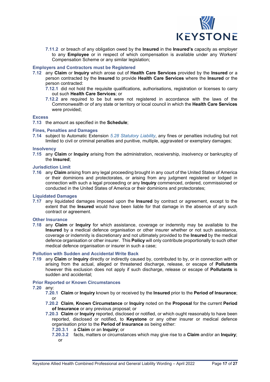

**7.11.2** or breach of any obligation owed by the **Insured** in the **Insured's** capacity as employer to any **Employee** or in respect of which compensation is available under any Workers' Compensation Scheme or any similar legislation;

#### **Employers and Contractors must be Registered**

- **7.12** any **Claim** or **Inquiry** which arose out of **Health Care Services** provided by the **Insured** or a person contracted by the **Insured** to provide **Health Care Services** where the **Insured** or the person contracted:
	- **7.12.1** did not hold the requisite qualifications, authorisations, registration or licenses to carry out such **Health Care Services**; or
	- **7.12.2** are required to be but were not registered in accordance with the laws of the Commonwealth or of any state or territory or local council in which the **Health Care Services** were provided;

#### **Excess**

**7.13** the amount as specified in the **Schedule**;

#### **Fines, Penalties and Damages**

**7.14** subject to Automatic Extension *5.28 Statutory Liability*, any fines or penalties including but not limited to civil or criminal penalties and punitive, multiple, aggravated or exemplary damages;

#### **Insolvency**

**7.15** any **Claim** or **Inquiry** arising from the administration, receivership, insolvency or bankruptcy of the **Insured**;

#### **Jurisdiction Limit**

**7.16** any **Claim** arising from any legal proceeding brought in any court of the United States of America or their dominions and protectorates, or arising from any judgment registered or lodged in connection with such a legal proceeding or any **Inquiry** commenced, ordered, commissioned or conducted in the United States of America or their dominions and protectorates;

#### **Liquidated Damages**

**7.17** any liquidated damages imposed upon the **Insured** by contract or agreement, except to the extent that the **Insured** would have been liable for that damage in the absence of any such contract or agreement.

#### **Other Insurance**

**7.18** any **Claim** or **Inquiry** for which assistance, coverage or indemnity may be available to the **Insured** by a medical defence organisation or other insurer whether or not such assistance, coverage or indemnity is discretionary and not ultimately provided to the **Insured** by the medical defence organisation or other insurer. This **Policy** will only contribute proportionally to such other medical defence organisation or insurer in such a case;

#### **Pollution with Sudden and Accidental Write Back**

**7.19** any **Claim** or **Inquiry** directly or indirectly caused by, contributed to by, or in connection with or arising from the actual, alleged or threatened discharge, release, or escape of **Pollutants** however this exclusion does not apply if such discharge, release or escape of **Pollutants** is sudden and accidental;

#### **Prior Reported or Known Circumstances**

#### **7.20** any:

- **7.20.1 Claim** or **Inquiry** known by or received by the **Insured** prior to the **Period of Insurance**; or
- **7.20.2 Claim**, **Known Circumstance** or **Inquiry** noted on the **Proposal** for the current **Period of Insurance** or any previous proposal; or
- **7.20.3 Claim** or **Inquiry** reported, disclosed or notified, or which ought reasonably to have been reported, disclosed or notified, to **Keystone** or any other insurer or medical defence organisation prior to the **Period of Insurance** as being either:
	- **7.20.3.1** a **Claim** or an **Inquiry**; or
	- **7.20.3.2** facts, matters or circumstances which may give rise to a **Claim** and/or an **Inquiry**; or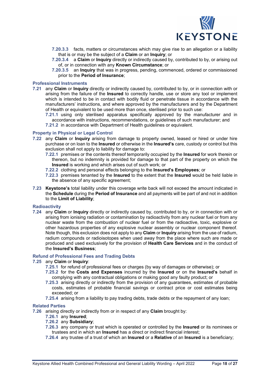

- **7.20.3.3** facts, matters or circumstances which may give rise to an allegation or a liability that is or may be the subject of a **Claim** or an **Inquiry**; or
- **7.20.3.4** a **Claim** or **Inquiry** directly or indirectly caused by, contributed to by, or arising out of, or in connection with any **Known Circumstance**; or
- **7.20.3.5** an **Inquiry** that was in progress, pending, commenced, ordered or commissioned prior to the **Period of Insurance**;

#### **Professional Instruments**

- **7.21** any **Claim** or **Inquiry** directly or indirectly caused by, contributed to by, or in connection with or arising from the failure of the **Insured** to correctly handle, use or store any tool or implement which is intended to be in contact with bodily fluid or penetrate tissue in accordance with the manufacturers' instructions, and where approved by the manufacturers and by the Department of Health or equivalent to be used more than once, sterilised prior to such use:
	- **7.21.1** using only sterilised apparatus specifically approved by the manufacturer and in accordance with instructions, recommendations, or guidelines of such manufacturer; and
	- **7.21.2** in accordance with Department of Health guidelines or equivalent.

#### **Property in Physical or Legal Control**

- **7.22** any **Claim** or **Inquiry** arising from damage to property owned, leased or hired or under hire purchase or on loan to the **Insured** or otherwise in the **Insured's** care, custody or control but this exclusion shall not apply to liability for damage to:
	- **7.22.1** premises or the contents thereof temporarily occupied by the **Insured** for work therein or thereon, but no indemnity is provided for damage to that part of the property on which the **Insured** is working and which arises out of such work; or
	- **7.22.2** clothing and personal effects belonging to the **Insured's Employees**; or
	- **7.22.3** premises tenanted by the **Insured** to the extent that the **Insured** would be held liable in the absence of any specific agreement;
- **7.23 Keystone's** total liability under this coverage write back will not exceed the amount indicated in the **Schedule** during the **Period of Insurance** and all payments will be part of and not in addition to the **Limit of Liability**;

#### **Radioactivity**

**7.24** any **Claim** or **Inquiry** directly or indirectly caused by, contributed to by, or in connection with or arising from ionising radiation or contamination by radioactivity from any nuclear fuel or from any nuclear waste from the combustion of nuclear fuel or from the radioactive, toxic, explosive or other hazardous properties of any explosive nuclear assembly or nuclear component thereof. Note though, this exclusion does not apply to any **Claim** or **Inquiry** arising from the use of radium, radium compounds or radioisotopes when used away from the place where such are made or produced and used exclusively for the provision of **Health Care Services** and in the conduct of the **Insured's Business**;

#### **Refund of Professional Fees and Trading Debts**

#### **7.25** any **Claim** or **Inquiry**:

- **7.25.1** for refund of professional fees or charges (by way of damages or otherwise); or
- **7.25.2** for the **Costs and Expenses** incurred by the **Insured** or on the **Insured's** behalf in complying with any contractual obligations or making good any faulty product; or
- **7.25.3** arising directly or indirectly from the provision of any guarantees, estimates of probable costs, estimates of probable financial savings or contract price or cost estimates being exceeded; or
- **7.25.4** arising from a liability to pay trading debts, trade debts or the repayment of any loan;

#### **Related Parties**

**7.26** arising directly or indirectly from or in respect of any **Claim** brought by:

#### **7.26.1** any **Insured**;

- **7.26.2** any **Subsidiary**;
- **7.26.3** any company or trust which is operated or controlled by the **Insured** or its nominees or trustees and in which an **Insured** has a direct or indirect financial interest;
- **7.26.4** any trustee of a trust of which an **Insured** or a **Relative** of an **Insured** is a beneficiary;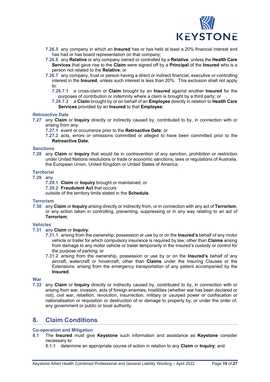

- **7.26.5** any company in which an **Insured** has or has held at least a 20% financial interest and has had or has board representation on that company;
- **7.26.6** any **Relative** or any company owned or controlled by a **Relative**, unless the **Health Care Services** that gave rise to the **Claim** were signed off by a **Principal** of the **Insured** who is a person not related to the **Relative**; or
- **7.26.7** any company, trust or person having a direct or indirect financial, executive or controlling interest in the **Insured**, unless such interest is less than 20%. This exclusion shall not apply to:
	- **7.26.7.1** a cross-claim or **Claim** brought by an **Insured** against another **Insured** for the purposes of contribution or indemnity where a claim is brought by a third party; or
	- **7.26.7.2** a **Claim** brought by or on behalf of an **Employee** directly in relation to **Health Care Services** provided by an **Insured** to that **Employee**;

#### **Retroactive Date**

- **7.27** any **Claim** or **Inquiry** directly or indirectly caused by, contributed to by, in connection with or arising from any:
	- **7.27.1** event or occurrence prior to the **Retroactive Date**; or
	- **7.27.2** acts, errors or omissions committed or alleged to have been committed prior to the **Retroactive Date**;

#### **Sanctions**

**7.28** any **Claim** or **Inquiry** that would be in contravention of any sanction, prohibition or restriction under United Nations resolutions or trade or economic sanctions, laws or regulations of Australia, the European Union, United Kingdom or United States of America;

#### **Territorial**

- **7.29** any
	- **7.29.1 Claim** or **Inquiry** brought or maintained; or
	- **7.29.2 Fraudulent Act** that occurs

outside of the territory limits stated in the **Schedule**.

#### **Terrorism**

**7.30** any **Claim** or **Inquiry** arising directly or indirectly from, or in connection with any act of **Terrorism**, or any action taken in controlling, preventing, suppressing or in any way relating to an act of **Terrorism**;

#### **Vehicles**

- **7.31** any **Claim** or **Inquiry**:
	- **7.31.1** arising from the ownership, possession or use by or on the **Insured's** behalf of any motor vehicle or trailer for which compulsory insurance is required by law, other than **Claims** arising from damage to any motor vehicle or trailer temporarily in the Insured's custody or control for the purpose of parking; or
	- **7.31.2** arising from the ownership, possession or use by or on the **Insured's** behalf of any aircraft, watercraft or hovercraft, other than **Claims** under the Insuring Clauses or the Extensions, arising from the emergency transportation of any patient accompanied by the **Insured**;

#### **War**

**7.32** any **Claim** or **Inquiry** directly or indirectly caused by, contributed to by, in connection with or arising from war, invasion, acts of foreign enemies, hostilities (whether war has been declared or not), civil war, rebellion, revolution, insurrection, military or usurped power or confiscation or nationalisation or requisition or destruction of or damage to property by, or under the order of, any government or public or local authority.

### <span id="page-18-0"></span>**8. Claim Conditions**

#### **Co-operation and Mitigation**

- **8.1** The **Insured** must give **Keystone** such information and assistance as **Keystone** consider necessary to:
	- **8.1.1** determine an appropriate course of action in relation to any **Claim** or **Inquiry**; and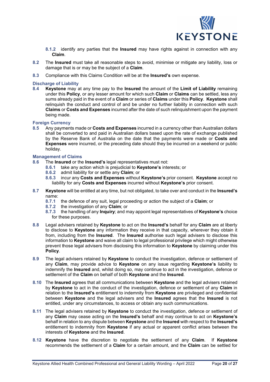

**8.1.2** identify any parties that the **Insured** may have rights against in connection with any **Claim**.

- **8.2** The **Insured** must take all reasonable steps to avoid, minimise or mitigate any liability, loss or damage that is or may be the subject of a **Claim**.
- **8.3** Compliance with this Claims Condition will be at the **Insured's** own expense.

#### **Discharge of Liability**

**8.4 Keystone** may at any time pay to the **Insured** the amount of the **Limit of Liability** remaining under this **Policy**, or any lesser amount for which such **Claim** or **Claims** can be settled, less any sums already paid in the event of a **Claim** or series of **Claims** under this **Policy**. **Keystone** shall relinquish the conduct and control of and be under no further liability in connection with such **Claims** or **Costs and Expenses** incurred after the date of such relinquishment upon the payment being made.

#### **Foreign Currency**

**8.5** Any payments made or **Costs and Expenses** incurred in a currency other than Australian dollars shall be converted to and paid in Australian dollars based upon the rate of exchange published by the Reserve Bank of Australia on the date that the payments were made or **Costs and Expenses** were incurred, or the preceding date should they be incurred on a weekend or public holiday.

## **Management of Claims**<br>8.6 The **Insured** or the

- **8.6** The **Insured** or the **Insured's** legal representatives must not:
	- **8.6.1** take any action which is prejudicial to **Keystone's** interests; or
	- **8.6.2** admit liability for or settle any **Claim**; or
	- **8.6.3** incur any **Costs and Expenses** without **Keystone's** prior consent. **Keystone** accept no liability for any **Costs and Expenses** incurred without **Keystone's** prior consent.
- **8.7 Keystone** will be entitled at any time, but not obligated, to take over and conduct in the **Insured's** name:
	- **8.7.1** the defence of any suit, legal proceeding or action the subject of a **Claim**; or
	- **8.7.2** the investigation of any **Claim**; or
	- **8.7.3** the handling of any **Inquiry**; and may appoint legal representatives of **Keystone's** choice for these purposes.
- **8.8** Legal advisers retained by **Keystone** to act on the **Insured's** behalf for any **Claim** are at liberty to disclose to **Keystone** any information they receive in that capacity, wherever they obtain it from, including from the **Insured**. The **Insured** authorise such legal advisers to disclose this information to **Keystone** and waive all claim to legal professional privilege which might otherwise prevent those legal advisers from disclosing this information to **Keystone** by claiming under this **Policy**.
- **8.9** The legal advisers retained by **Keystone** to conduct the investigation, defence or settlement of any **Claim**, may provide advice to **Keystone** on any issue regarding **Keystone's** liability to indemnify the **Insured** and, whilst doing so, may continue to act in the investigation, defence or settlement of the **Claim** on behalf of both **Keystone** and the **Insured**.
- **8.10** The **Insured** agrees that all communications between **Keystone** and the legal advisers retained by **Keystone** to act in the conduct of the investigation, defence or settlement of any **Claim** in relation to the **Insured's** entitlement to indemnity from **Keystone** are privileged and confidential between **Keystone** and the legal advisers and the **Insured** agrees that the **Insured** is not entitled, under any circumstances, to access or obtain any such communications.
- **8.11** The legal advisers retained by **Keystone** to conduct the investigation, defence or settlement of any **Claim** may cease acting on the **Insured's** behalf and may continue to act on **Keystone's** behalf in relation to any dispute between **Keystone** and the **Insured** with respect to the **Insured's** entitlement to indemnity from **Keystone** if any actual or apparent conflict arises between the interests of **Keystone** and the **Insured**.
- **8.12 Keystone** have the discretion to negotiate the settlement of any **Claim**. If **Keystone** recommends the settlement of a **Claim** for a certain amount, and the **Claim** can be settled for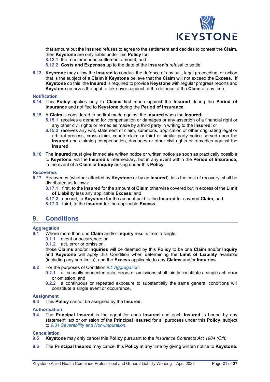

that amount but the **Insured** refuses to agree to the settlement and decides to contest the **Claim**, then **Keystone** are only liable under this **Policy** for:

**8.12.1** the recommended settlement amount; and

**8.12.2 Costs and Expenses** up to the date of the **Insured's** refusal to settle.

**8.13 Keystone** may allow the **Insured** to conduct the defence of any suit, legal proceeding, or action that is the subject of a **Claim** if **Keystone** believe that the **Claim** will not exceed the **Excess**. If **Keystone** do this, the **Insured** is required to provide **Keystone** with regular progress reports and **Keystone** reserves the right to take over conduct of the defence of the **Claim** at any time.

#### **Notification**

- **8.14** This **Policy** applies only to **Claims** first made against the **Insured** during the **Period of Insurance** and notified to **Keystone** during the **Period of Insurance**.
- **8.15** A **Claim** is considered to be first made against the **Insured** when the **Insured**:
	- **8.15.1** receives a demand for compensation or damages or any assertion of a financial right or any other civil rights or remedies made by a third party in writing to the **Insured**; or
	- **8.15.2** receives any writ, statement of claim, summons, application or other originating legal or arbitral process, cross-claim, counterclaim or third or similar party notice served upon the **Insured** and claiming compensation, damages or other civil rights or remedies against the **Insured**.
- **8.16** The **Insured** must give immediate written notice or written notice as soon as practically possible to **Keystone**, via the **Insured's** intermediary, but in any event within the **Period of Insurance**, in the event of a **Claim** or **Inquiry** arising under this **Policy**.

#### **Recoveries**

- **8.17** Recoveries (whether effected by **Keystone** or by an **Insured**), less the cost of recovery, shall be distributed as follows:
	- **8.17.1** first, to the **Insured** for the amount of **Claim** otherwise covered but in excess of the **Limit of Liability** less any applicable **Excess**; and
	- **8.17.2** second, to **Keystone** for the amount paid to the **Insured** for covered **Claim**; and
	- **8.17.3** third, to the **Insured** for the applicable **Excess**.

### <span id="page-20-0"></span>**9. Conditions**

## **Aggregation**

- **9.1** Where more than one **Claim** and/or **Inquiry** results from a single:
	- **9.1.1** event or occurrence; or
	- **9.1.2** act, error or omission,

those **Claims** and/or **Inquiries** will be deemed by this **Policy** to be one **Claim** and/or **Inquiry** and **Keystone** will apply this Condition when determining the **Limit of Liability** available (including any sub-limits), and the **Excess** applicable to any **Claims** and/or **Inquiries**.

- **9.2** For the purposes of Condition *9.1 Aggregation*:
	- **9.2.1** all causally connected acts, errors or omissions shall jointly constitute a single act, error or omission; and
	- **9.2.2** a continuous or repeated exposure to substantially the same general conditions will constitute a single event or occurrence.

#### **Assignment**

**9.3** This **Policy** cannot be assigned by the **Insured**.

#### **Authorisation**

**9.4** The **Principal Insured** is the agent for each **Insured** and each **Insured** is bound by any statement, act or omission of the **Principal Insured** for all purposes under this **Policy**, subject to *9.31 Severability and Non-Imputation*.

#### **Cancellation**

- **9.5 Keystone** may only cancel this **Policy** pursuant to the *Insurance Contracts Act 1984 (Cth).*
- **9.6** The **Principal Insured** may cancel this **Policy** at any time by giving written notice to **Keystone**.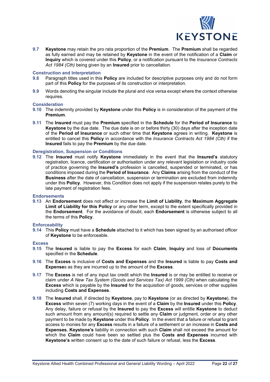

**9.7 Keystone** may retain the pro rata proportion of the **Premium**. The **Premium** shall be regarded as fully earned and may be retained by **Keystone** in the event of the notification of a **Claim** or **Inquiry** which is covered under this **Policy**, or a notification pursuant to the *Insurance Contracts Act 1984 (Cth)* being given by an **Insured** prior to cancellation.

## **Construction and Interpretation**<br>**9.8** Paragraph titles used in this

- **9.8** Paragraph titles used in this **Policy** are included for descriptive purposes only and do not form part of this **Policy** for the purposes of its construction or interpretation.
- **9.9** Words denoting the singular include the plural and vice versa except where the context otherwise requires.

#### **Consideration**

- **9.10** The indemnity provided by **Keystone** under this **Policy** is in consideration of the payment of the **Premium**.
- **9.11** The **Insured** must pay the **Premium** specified in the **Schedule** for the **Period of Insurance** to **Keystone** by the due date. The due date is on or before thirty (30) days after the inception date of the **Period of Insurance** or such other time that **Keystone** agrees in writing. **Keystone** is entitled to cancel this **Policy** in accordance with the *Insurance Contracts Act 1984 (Cth)* if the **Insured** fails to pay the **Premium** by the due date.

#### **Deregistration, Suspension or Conditions**

**9.12** The **Insured** must notify **Keystone** immediately in the event that the **Insured's** statutory registration, licence, certification or authorisation under any relevant legislation or industry code of practice governing the **Insured's** profession is cancelled, suspended or terminated, or has conditions imposed during the **Period of Insurance**. Any **Claims** arising from the conduct of the **Business** after the date of cancellation, suspension or termination are excluded from indemnity under this **Policy**. However, this Condition does not apply if the suspension relates purely to the late payment of registration fees.

#### **Endorsements**

**9.13** An **Endorsement** does not affect or increase the **Limit of Liability**, the **Maximum Aggregate Limit of Liability for this Policy** or any other term, except to the extent specifically provided in the **Endorsement**. For the avoidance of doubt, each **Endorsement** is otherwise subject to all the terms of this **Policy**.

#### **Enforceability**

**9.14** This **Policy** must have a **Schedule** attached to it which has been signed by an authorised officer of **Keystone** to be enforceable.

#### **Excess**

- **9.15** The **Insured** is liable to pay the **Excess** for each **Claim**, **Inquiry** and loss of **Documents** specified in the **Schedule**.
- **9.16** The **Excess** is inclusive of **Costs and Expenses** and the **Insured** is liable to pay **Costs and Expense**s as they are incurred up to the amount of the **Excess**.
- **9.17** The **Excess** is net of any input tax credit which the **Insured** is or may be entitled to receive or claim under *A New Tax System (Goods and Services Tax) Act 1999 (Cth)* when calculating the **Excess** which is payable by the **Insured** for the acquisition of goods, services or other supplies including **Costs and Expenses**.
- **9.18** The **Insured** shall, if directed by **Keystone**, pay to **Keystone** (or as directed by **Keystone**), the **Excess** within seven (7) working days in the event of a **Claim** by the **Insured** under this **Policy**. Any delay, failure or refusal by the **Insured** to pay the **Excess** will entitle **Keystone** to deduct such amount from any amount(s) required to settle any **Claim** or judgment, order or any other payment to be made by **Keystone** under this **Policy**. In the event that a failure or refusal to grant access to monies for any **Excess** results in a failure of a settlement or an increase in **Costs and Expenses**, **Keystone's** liability in connection with such **Claim** shall not exceed the amount for which the **Claim** could have been so settled plus the **Costs and Expenses** incurred with **Keystone's** written consent up to the date of such failure or refusal, less the **Excess**.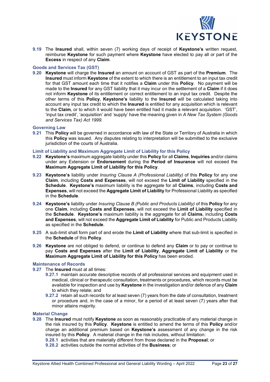

**9.19** The **Insured** shall, within seven (7) working days of receipt of **Keystone's** written request, reimburse **Keystone** for such payment where **Keystone** have elected to pay all or part of the **Excess** in respect of any **Claim**.

#### **Goods and Services Tax (GST)**

**9.20 Keystone** will charge the **Insured** an amount on account of GST as part of the **Premium**. The **Insured** must inform **Keystone** of the extent to which there is an entitlement to an input tax credit for that GST amount each time that it notifies a **Claim** under this **Policy**. No payment will be made to the **Insured** for any GST liability that it may incur on the settlement of a **Claim** if it does not inform **Keystone** of its entitlement or correct entitlement to an input tax credit. Despite the other terms of this **Policy**, **Keystone's** liability to the **Insured** will be calculated taking into account any input tax credit to which the **Insured** is entitled for any acquisition which is relevant to the **Claim**, or to which it would have been entitled had it made a relevant acquisition. 'GST', 'input tax credit', 'acquisition' and 'supply' have the meaning given in *A New Tax System (Goods and Services Tax) Act 1999*.

#### **Governing Law**

**9.21** This **Policy** will be governed in accordance with law of the State or Territory of Australia in which this **Policy** was issued. Any disputes relating to interpretation will be submitted to the exclusive jurisdiction of the courts of Australia.

#### **Limit of Liability and Maximum Aggregate Limit of Liability for this Policy**

- **9.22 Keystone's** maximum aggregate liability under this **Policy** for all **Claims**, **Inquiries** and/or claims under any Extension or **Endorsement** during the **Period of Insurance** will not exceed the **Maximum Aggregate Limit of Liability for this Policy**.
- **9.23 Keystone's** liability under *Insuring Clause A (Professional Liability)* of this **Policy** for any one **Claim**, including **Costs and Expenses**, will not exceed the **Limit of Liability** specified in the **Schedule**. **Keystone's** maximum liability is the aggregate for all **Claims**, including **Costs and Expenses**, will not exceed the **Aggregate Limit of Liability** for Professional Liability as specified in the **Schedule**.
- **9.24 Keystone's** liability under *Insuring Clause B (Public and Products Liability)* of this **Policy** for any one **Claim**, including **Costs and Expenses**, will not exceed the **Limit of Liability** specified in the **Schedule**. **Keystone's** maximum liability is the aggregate for all **Claims**, including **Costs and Expenses**, will not exceed the **Aggregate Limit of Liability** for Public and Products Liability as specified in the **Schedule**.
- **9.25** A sub-limit shall form part of and erode the **Limit of Liability** where that sub-limit is specified in the **Schedule** of this **Policy**.
- **9.26 Keystone** are not obliged to defend, or continue to defend any **Claim** or to pay or continue to pay **Costs and Expenses** after the **Limit of Liability**, **Aggregate Limit of Liability** or the **Maximum Aggregate Limit of Liability for this Policy** has been eroded.

#### **Maintenance of Records**

- **9.27** The **Insured** must at all times:
	- **9.27.1** maintain accurate descriptive records of all professional services and equipment used in medical, clinical or therapeutic consultation, treatments or procedures, which records must be available for inspection and use by **Keystone** in the investigation and/or defence of any **Claim** to which they relate; and
	- **9.27.2** retain all such records for at least seven (7) years from the date of consultation, treatment or procedure and, in the case of a minor, for a period of at least seven (7) years after that minor attains majority.

#### **Material Change**

- **9.28** The **Insured** must notify **Keystone** as soon as reasonably practicable of any material change in the risk insured by this **Policy**. **Keystone** is entitled to amend the terms of this **Policy** and/or charge an additional premium based on **Keystone's** assessment of any change in the risk insured by this **Policy**. A material change in the risk includes, without limitation:
	- **9.28.1** activities that are materially different from those declared in the **Proposal**; or
	- **9.28.2** activities outside the normal activities of the **Business**; or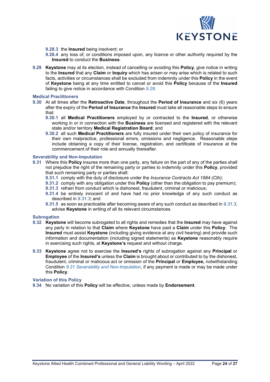

**9.28.3** the **Insured** being insolvent; or

- **9.28.4** any loss of, or conditions imposed upon, any licence or other authority required by the **Insured** to conduct the **Business**.
- **9.29 Keystone** may at its election, instead of cancelling or avoiding this **Policy**, give notice in writing to the **Insured** that any **Claim** or **Inquiry** which has arisen or may arise which is related to such facts, activities or circumstances shall be excluded from indemnity under this **Policy** in the event of **Keystone** being at any time entitled to cancel or avoid this **Policy** because of the **Insured**  failing to give notice in accordance with Condition *9.28*.

#### **Medical Practitioners**

- **9.30** At all times after the **Retroactive Date**, throughout the **Period of Insurance** and six (6) years after the expiry of the **Period of Insurance** the **Insured** must take all reasonable steps to ensure that:
	- **9.30.1** all **Medical Practitioners** employed by or contracted to the **Insured**, or otherwise working in or in connection with the **Business** are licensed and registered with the relevant state and/or territory **Medical Registration Board**; and
	- **9.30.2** all such **Medical Practitioners** are fully insured under their own policy of insurance for their own malpractice, professional errors, omissions and negligence. Reasonable steps include obtaining a copy of their license, registration, and certificate of insurance at the commencement of their role and annually thereafter.

#### **Severability and Non-Imputation**

- **9.31** Where this **Policy** insures more than one party, any failure on the part of any of the parties shall not prejudice the right of the remaining party or parties to indemnity under this **Policy**, provided that such remaining party or parties shall:
	- **9.31.1** comply with the duty of disclosure under the *Insurance Contracts Act 1984 (Cth)*;
	- **9.31.2** comply with any obligation under this **Policy** (other than the obligation to pay premium);
	- **9.31.3** refrain from conduct which is dishonest, fraudulent, criminal or malicious;
	- **9.31.4** be entirely innocent of and have had no prior knowledge of any such conduct as described in *9.31.3*; and
	- **9.31.5** as soon as practicable after becoming aware of any such conduct as described in *9.31.3*, advise **Keystone** in writing of all its relevant circumstances.

#### **Subrogation**

- **9.32 Keystone** will become subrogated to all rights and remedies that the **Insured** may have against any party in relation to that **Claim** where **Keystone** have paid a **Claim** under this **Policy**. The **Insured** must assist **Keystone** (including giving evidence at any civil hearing) and provide such information and documentation (including signed statements) as **Keystone** reasonably require in exercising such rights, at **Keystone's** request and without charge.
- **9.33 Keystone** agree not to exercise the **Insured's** rights of subrogation against any **Principal** or **Employee** of the **Insured's** unless the **Claim** is brought about or contributed to by the dishonest, fraudulent, criminal or malicious act or omission of the **Principal** or **Employee,** notwithstanding Condition *9.31 Severability and Non-Imputation*, if any payment is made or may be made under this **Policy**.

#### **Variation of this Policy**

**9.34** No variation of this **Policy** will be effective, unless made by **Endorsement**.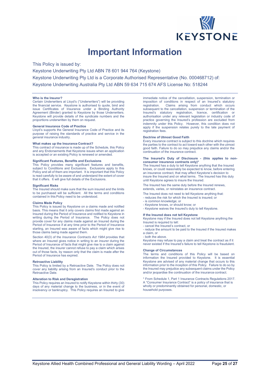

## **Important Information**

<span id="page-24-0"></span>This Policy is issued by:

Keystone Underwriting Pty Ltd ABN 78 601 944 764 (Keystone) Keystone Underwriting Pty Ltd is a Corporate Authorised Representative (No. 000468712) of: Keystone Underwriting Australia Pty Ltd ABN 59 634 715 674 AFS License No: 518244

#### **Who is the Insurer?**

Certain Underwriters at Lloyd's ("Underwriters") will be providing the financial service. Keystone is authorised to quote, bind and issue Certificates of Insurance under a Binding Authority Agreement (Binder) granted to Keystone by those Underwriters. Keystone will provide details of the syndicate numbers and the proportions underwritten by them on request.

#### **General Insurance Code of Practice**

Lloyd's supports the General Insurance Code of Practice and its purpose of raising the standards of practice and service in the general insurance industry.

#### **What makes up the Insurance Contract?**

This contract of insurance is made up of the Schedule, this Policy and any Endorsements that Keystone issues when an application is accepted or an existing Policy is renewed or amended.

#### **Significant Features, Benefits and Exclusions**

This Policy provides many significant features and benefits, subject to Conditions and Exclusions. Exclusions apply to this Policy and all of them are important. It is important that this Policy is read carefully to be aware of and understand the extent of cover that it offers. It will give full details of the Exclusions.

#### **Significant Risks**

The Insured should make sure that the sum insured and the limits to be purchased will be sufficient. All the terms and conditions contained in this Policy need to be understood.

#### **Claims Made Policy**

This Policy is issued by Keystone on a claims made and notified basis. This means that it only covers claims first made against an Insured during the Period of Insurance and notified to Keystone in writing during the Period of Insurance. The Policy does not provide cover for any claims made against an Insured during the Period of Insurance if at any time prior to the Period of Insurance starting, an Insured was aware of facts which might give rise to those claims being made against them.

Section 40(3) of the *Insurance Contracts Act 1984* provides that where an Insured gives notice in writing to an insurer during the Period of Insurance of facts that might give rise to a claim against the Insured, the insurer cannot refuse to pay a claim which arises out of those facts, by reason only that the claim is made after the Period of Insurance has expired.

#### **Retroactive Liability**

This Policy is limited by a Retroactive Date. The Policy does not cover any liability arising from an Insured's conduct prior to the Retroactive Date.

#### **Alteration to Risk and Deregistration**

This Policy requires an Insured to notify Keystone within thirty (30) days of any material change to the business, or in the event of insolvency or bankruptcy. This Policy requires an Insured to give

immediate notice of the cancellation, suspension, termination or imposition of conditions in respect of an Insured's statutory<br>registration. Claims arising from conduct which occurs Claims arising from conduct which occurs subsequent to the cancellation, suspension or termination of the Insured's statutory registration, licence, certification or authorisation under any relevant legislation or industry code of practice governing the Insured's profession are excluded from indemnity under this Policy. However, this condition does not apply if the suspension relates purely to the late payment of registration fees.

#### **Doctrine of Utmost Good Faith**

Every insurance contract is subject to this doctrine which requires the parties to the contract to act toward each other with the utmost good faith. Failure to do so may prejudice any claims and/or the continuation of the insurance contract.

#### **The Insured's Duty of Disclosure - (this applies to nonconsumer insurance contracts only)\***

The Insured has a duty to tell Keystone anything that the Insured knows, or could reasonably be expected to know, before entering an insurance contract, that may affect Keystone's decision to insure the Insured and on what terms. The Insured has this duty until Keystone agrees to insure the Insured.

The Insured has the same duty before the Insured renews, extends, varies, or reinstates an insurance contract.

- The Insured does not need to tell Keystone anything that:
- reduces the risk for which the Insured is insured; or
- is common knowledge; or
- Keystone knows, or should know; or

#### - Keystone waives the Insured's duty to tell Keystone.

#### **If the Insured does not tell Keystone**

Keystone may if the Insured does not tell Keystone anything the Insured is required to tell:

- cancel the Insured's contract, or

- reduce the amount to be paid to the Insured if the Insured makes a claim, or

both the above.

Keystone may refuse to pay a claim and treat the contract as if it never existed if the Insured's failure to tell Keystone is fraudulent.

#### **Change of Circumstances**

The terms and conditions of this Policy will be based on information the Insured provided to Keystone. It is essential Keystone are advised of any material change that occurs to this information prior to the inception of this Policy. Failure to do so by the Insured may prejudice any subsequent claims under the Policy and/or jeopardise the continuation of the insurance contract.

\* From Schedule 1, Part 1 Insurance Contracts Regulations 2017. A "Consumer Insurance Contract" is a policy of insurance that is wholly or predominantly obtained for personal, domestic, or household purposes.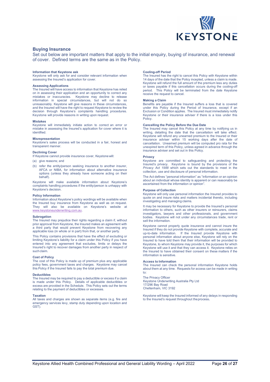

#### **Buying Insurance**

Set out below are important matters that apply to the initial enquiry, buying of insurance, and renewal of cover. Defined terms are the same as in the Policy.

#### **Information that Keystone ask**

Keystone will only ask for and consider relevant information when assessing the Insured's application for cover.

#### **Assessing Applications**

The Insured will have access to information that Keystone has relied on in assessing their application and an opportunity to correct any mistakes or inaccuracies. Keystone may decline to release information in special circumstances, but will not do so unreasonably. Keystone will give reasons in these circumstances, and the Insured will have the right to request Keystone to review the decision through Keystone's complaints handling procedures. Keystone will provide reasons in writing upon request.

#### **Mistakes**

Keystone will immediately initiate action to correct an error or mistake in assessing the Insured's application for cover where it is identified.

#### **Misrepresentation**

Keystone's sales process will be conducted in a fair, honest and transparent manner.

#### **Declining Cover**

If Keystone cannot provide insurance cover, Keystonewill:

- (a) give reasons; and
- (b) refer the entity/person seeking insurance to another insurer, AFCA or NIBA, for information about alternative insurance options (unless they already have someone acting on their behalf).

Keystone will make available information about Keystone's complaints handling procedures if the entity/person is unhappy with Keystone's decision.

#### **Policy Information**

Information about Keystone's policy wordings will be available when the Insured buy insurance from Keystone as well as on request.<br>They will also be available on Keystone's website at They will also be available on Keystone's website [www.keystoneunderwriting.com.au.](http://www.keystoneunderwriting.com.au/)

#### **Subrogation**

The Insured may prejudice their rights regarding a claim if, without prior approval from Keystone, the Insured makes an agreement with a third party that would prevent Keystone from recovering any applicable loss (in whole or in part) from that, or another party

This Policy contains provisions that have the effect of excluding or limiting Keystone's liability for a claim under this Policy if you have entered into any agreement that excludes, limits or delays the Insured's right to recover damages from another party in respect of such claim.

#### **Cost of Policy**

The cost of this Policy is made up of premium plus any applicable policy fees, government taxes and charges. Keystone may cancel this Policy if the Insured fails to pay the total premium due.

#### **Deductibles**

The Insured may be required to pay a deductible or excess if a claim is made under this Policy. Details of applicable deductibles or excess are provided in the Schedule. This Policy sets out the terms relating to the payment of deductibles or excesses.

#### **Taxation**

All taxes and charges are shown as separate items (e.g. fire and emergency services levy, stamp duty depending upon location and GST)

#### **Cooling-off Period**

The Insured has the right to cancel this Policy with Keystone within 14 days of the date that the Policy incepted, unless a claim is made. Keystone will refund the full amount of the premium less any duties or taxes payable if this cancellation occurs during the cooling-off period. This Policy will be terminated from the date Keystone receive the request to cancel.

#### **Making a Claim**

Benefits are payable if the Insured suffers a loss that is covered under this Policy during the Period of Insurance, except if an Exclusion or Condition applies. The Insured must immediately notify Keystone or their insurance adviser if there is a loss under this Policy.

#### **Cancelling the Policy Before the Due Date**

The Insured may cancel this Policy at any time by notifying us in writing, detailing the date that the cancellation will take effect. Keystone will refund any unearned premium to the Insured or their insurance adviser within 15 working days after the date of cancellation. Unearned premium will be computed pro rata for the unexpired term of this Policy, unless agreed in advance through the insurance adviser and set out in this Policy.

#### **Privacy**

Keystone are committed to safeguarding and protecting the Insured's privacy. Keystone is bound by the provisions of the *Privacy Act 1988* which sets out the standards to meet in the collection, use and disclosure of personal information.

The Act defines "personal information" as "information or an opinion about an individual whose identity is apparent or can reasonably be ascertained from the information or opinion".

#### **Purpose of Collection**

Keystone will only use personal information the Insured provides to quote on and insure risks and matters incidental thereto, including investigating and managing claims.

It may be necessary for Keystone to provide the Insured's personal information to others, such as other insurers or reinsurers, claims investigators, lawyers and other professionals, and government bodies. Keystone will not under any circumstances trade, rent or sell the information

Keystone cannot properly quote insurance and cannot insure the Insured if they do not provide Keystone with complete, accurate and up-to-date information. If the Insured provide Keystone with personal information about anyone else, Keystone will rely on the Insured to have told them that their information will be provided to Keystone, to whom Keystone may provide it, the purposes for which Keystone will use it and that they can access it. Keystone relies on the Insured to have obtained their consent on these matters if the information is sensitive.

#### **Access to Information**

The Insured can check the personal information Keystone holds about them at any time. Requests for access can be made in writing to:

The Privacy Officer Keystone Underwriting Australia Pty Ltd 17/296 Bay Road Cheltenham, VIC 3192

Keystone will keep the Insured informed of any delays in responding to the Insured's request throughout theprocess**.**